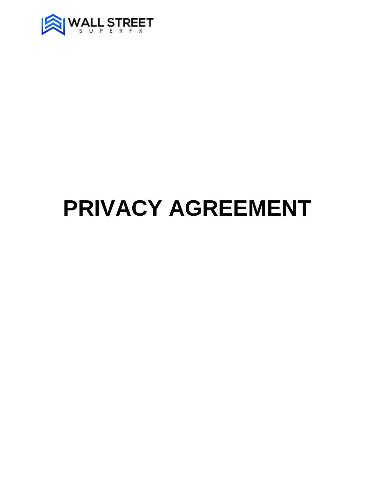

# **PRIVACY AGREEMENT**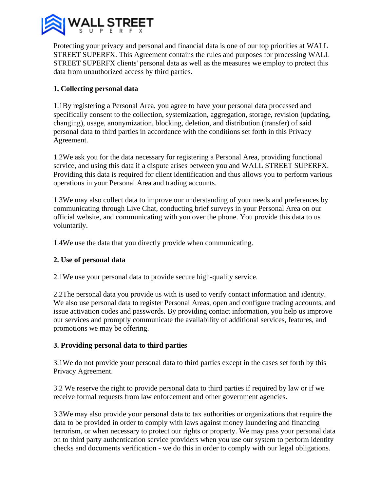

Protecting your privacy and personal and financial data is one of our top priorities at WALL STREET SUPERFX. This Agreement contains the rules and purposes for processing WALL STREET SUPERFX clients' personal data as well as the measures we employ to protect this data from unauthorized access by third parties.

## **1. Collecting personal data**

1.1By registering a Personal Area, you agree to have your personal data processed and specifically consent to the collection, systemization, aggregation, storage, revision (updating, changing), usage, anonymization, blocking, deletion, and distribution (transfer) of said personal data to third parties in accordance with the conditions set forth in this Privacy Agreement.

1.2We ask you for the data necessary for registering a Personal Area, providing functional service, and using this data if a dispute arises between you and WALL STREET SUPERFX. Providing this data is required for client identification and thus allows you to perform various operations in your Personal Area and trading accounts.

1.3We may also collect data to improve our understanding of your needs and preferences by communicating through Live Chat, conducting brief surveys in your Personal Area on our official website, and communicating with you over the phone. You provide this data to us voluntarily.

1.4We use the data that you directly provide when communicating.

## **2. Use of personal data**

2.1We use your personal data to provide secure high-quality service.

2.2The personal data you provide us with is used to verify contact information and identity. We also use personal data to register Personal Areas, open and configure trading accounts, and issue activation codes and passwords. By providing contact information, you help us improve our services and promptly communicate the availability of additional services, features, and promotions we may be offering.

## **3. Providing personal data to third parties**

3.1We do not provide your personal data to third parties except in the cases set forth by this Privacy Agreement.

3.2 We reserve the right to provide personal data to third parties if required by law or if we receive formal requests from law enforcement and other government agencies.

3.3We may also provide your personal data to tax authorities or organizations that require the data to be provided in order to comply with laws against money laundering and financing terrorism, or when necessary to protect our rights or property. We may pass your personal data on to third party authentication service providers when you use our system to perform identity checks and documents verification - we do this in order to comply with our legal obligations.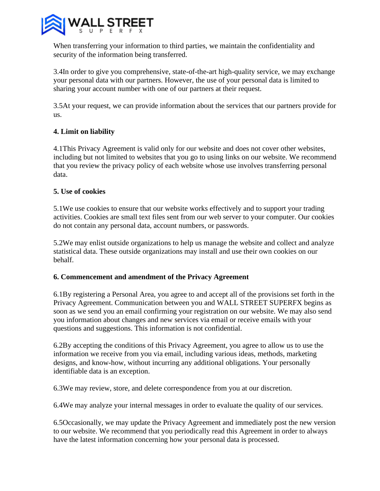

When transferring your information to third parties, we maintain the confidentiality and security of the information being transferred.

3.4In order to give you comprehensive, state-of-the-art high-quality service, we may exchange your personal data with our partners. However, the use of your personal data is limited to sharing your account number with one of our partners at their request.

3.5At your request, we can provide information about the services that our partners provide for us.

# **4. Limit on liability**

4.1This Privacy Agreement is valid only for our website and does not cover other websites, including but not limited to websites that you go to using links on our website. We recommend that you review the privacy policy of each website whose use involves transferring personal data.

#### **5. Use of cookies**

5.1We use cookies to ensure that our website works effectively and to support your trading activities. Cookies are small text files sent from our web server to your computer. Our cookies do not contain any personal data, account numbers, or passwords.

5.2We may enlist outside organizations to help us manage the website and collect and analyze statistical data. These outside organizations may install and use their own cookies on our behalf.

#### **6. Commencement and amendment of the Privacy Agreement**

6.1By registering a Personal Area, you agree to and accept all of the provisions set forth in the Privacy Agreement. Communication between you and WALL STREET SUPERFX begins as soon as we send you an email confirming your registration on our website. We may also send you information about changes and new services via email or receive emails with your questions and suggestions. This information is not confidential.

6.2By accepting the conditions of this Privacy Agreement, you agree to allow us to use the information we receive from you via email, including various ideas, methods, marketing designs, and know-how, without incurring any additional obligations. Your personally identifiable data is an exception.

6.3We may review, store, and delete correspondence from you at our discretion.

6.4We may analyze your internal messages in order to evaluate the quality of our services.

6.5Occasionally, we may update the Privacy Agreement and immediately post the new version to our website. We recommend that you periodically read this Agreement in order to always have the latest information concerning how your personal data is processed.